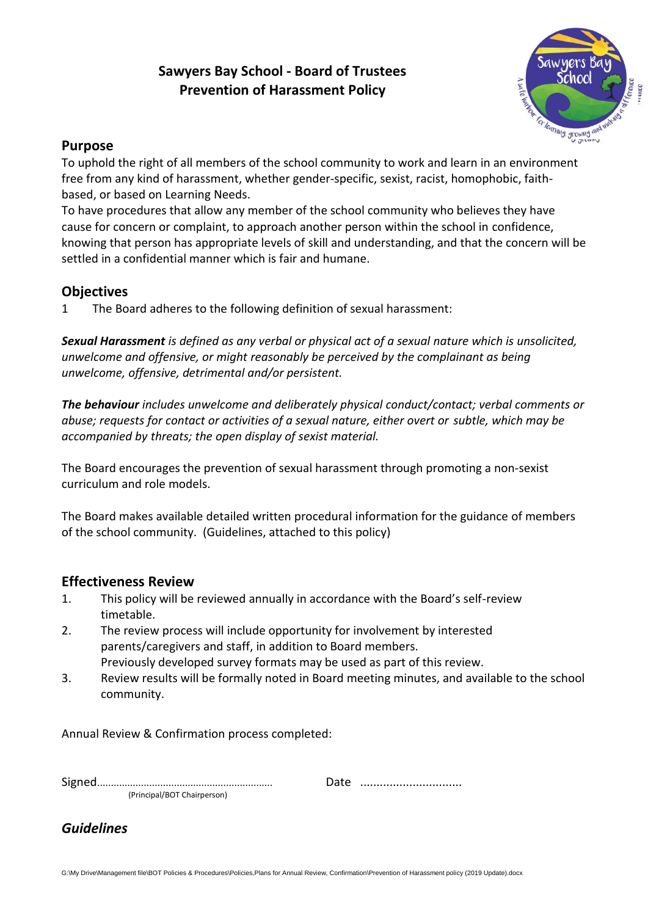# **Sawyers Bay School - Board of Trustees Prevention of Harassment Policy**



### **Purpose**

To uphold the right of all members of the school community to work and learn in an environment free from any kind of harassment, whether gender-specific, sexist, racist, homophobic, faithbased, or based on Learning Needs.

To have procedures that allow any member of the school community who believes they have cause for concern or complaint, to approach another person within the school in confidence, knowing that person has appropriate levels of skill and understanding, and that the concern will be settled in a confidential manner which is fair and humane.

## **Objectives**

1 The Board adheres to the following definition of sexual harassment:

*Sexual Harassment is defined as any verbal or physical act of a sexual nature which is unsolicited, unwelcome and offensive, or might reasonably be perceived by the complainant as being unwelcome, offensive, detrimental and/or persistent.*

*The behaviour includes unwelcome and deliberately physical conduct/contact; verbal comments or abuse; requests for contact or activities of a sexual nature, either overt or subtle, which may be accompanied by threats; the open display of sexist material.*

The Board encourages the prevention of sexual harassment through promoting a non-sexist curriculum and role models.

The Board makes available detailed written procedural information for the guidance of members of the school community. (Guidelines, attached to this policy)

## **Effectiveness Review**

- 1. This policy will be reviewed annually in accordance with the Board's self-review timetable.
- 2. The review process will include opportunity for involvement by interested parents/caregivers and staff, in addition to Board members. Previously developed survey formats may be used as part of this review.
- 3. Review results will be formally noted in Board meeting minutes, and available to the school community.

Annual Review & Confirmation process completed:

| (Principal/BOT Chairperson) |  |
|-----------------------------|--|

*Guidelines*